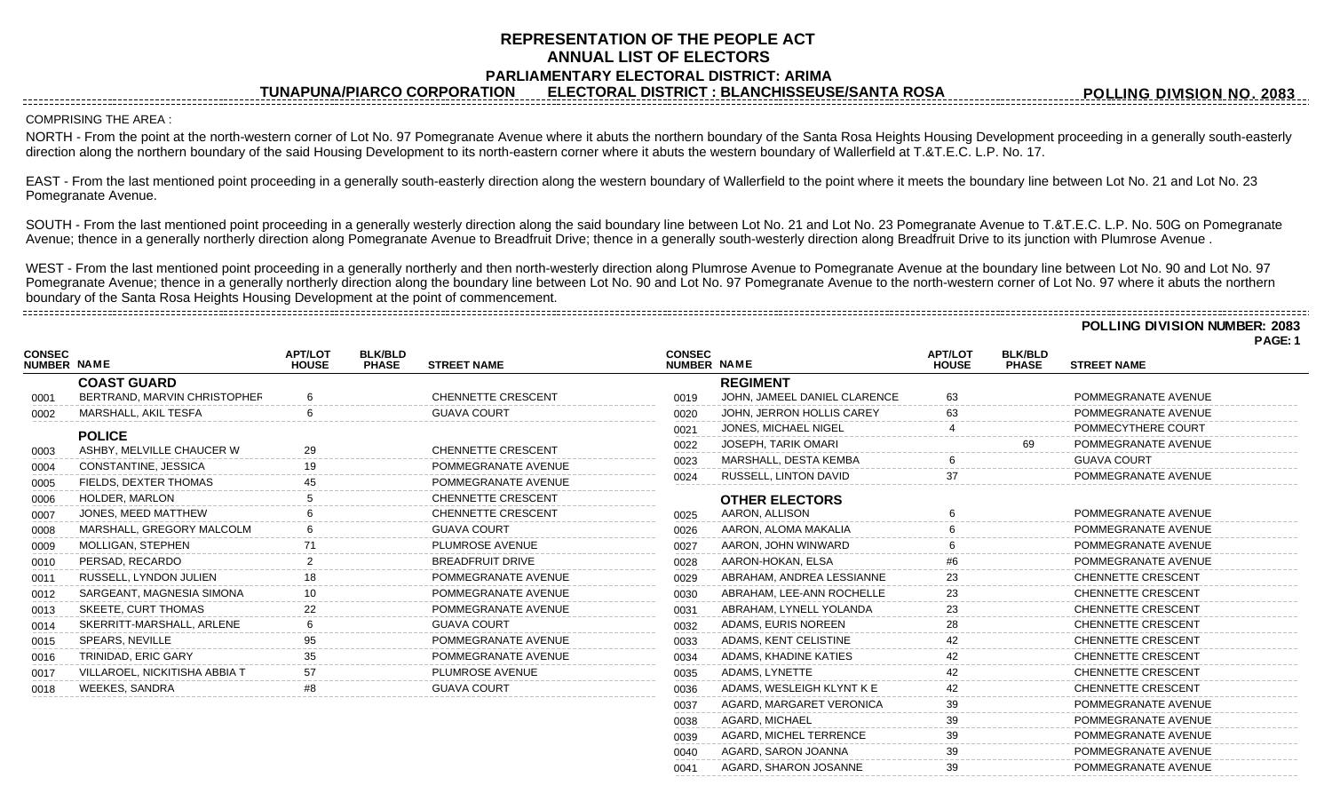## **REPRESENTATION OF THE PEOPLE ACT ANNUAL LIST OF ELECTORS PARLIAMENTARY ELECTORAL DISTRICT: ARIMA**

**TUNAPUNA/PIARCO CORPORATION ELECTORAL DISTRICT : BLANCHISSEUSE/SANTA ROSA**

## COMPRISING THE AREA :

NORTH - From the point at the north-western corner of Lot No. 97 Pomegranate Avenue where it abuts the northern boundary of the Santa Rosa Heights Housing Development proceeding in a generally south-easterly direction along the northern boundary of the said Housing Development to its north-eastern corner where it abuts the western boundary of Wallerfield at T.&T.E.C. L.P. No. 17.

EAST - From the last mentioned point proceeding in a generally south-easterly direction along the western boundary of Wallerfield to the point where it meets the boundary line between Lot No. 21 and Lot No. 23 Pomegranate Avenue.

SOUTH - From the last mentioned point proceeding in a generally westerly direction along the said boundary line between Lot No. 21 and Lot No. 23 Pomegranate Avenue to T.&T.E.C. L.P. No. 50G on Pomegranate Avenue; thence in a generally northerly direction along Pomegranate Avenue to Breadfruit Drive; thence in a generally south-westerly direction along Breadfruit Drive to its junction with Plumrose Avenue .

WEST - From the last mentioned point proceeding in a generally northerly and then north-westerly direction along Plumrose Avenue to Pomegranate Avenue at the boundary line between Lot No. 90 and Lot No. 97 Pomegranate Avenue; thence in a generally northerly direction along the boundary line between Lot No. 90 and Lot No. 97 Pomegranate Avenue to the north-western corner of Lot No. 97 where it abuts the northern boundary of the Santa Rosa Heights Housing Development at the point of commencement.

**POLLING DIVISION NUMBER: 2083**

**PAGE: 1**

|                                     |                                            |                                |                                |                           |                              |                               |                                |                                |                           | . <sub>~</sub> |
|-------------------------------------|--------------------------------------------|--------------------------------|--------------------------------|---------------------------|------------------------------|-------------------------------|--------------------------------|--------------------------------|---------------------------|----------------|
| <b>CONSEC</b><br><b>NUMBER NAME</b> |                                            | <b>APT/LOT</b><br><b>HOUSE</b> | <b>BLK/BLD</b><br><b>PHASE</b> | <b>STREET NAME</b>        | <b>CONSEC</b><br>NUMBER NAME |                               | <b>APT/LOT</b><br><b>HOUSE</b> | <b>BLK/BLD</b><br><b>PHASE</b> | <b>STREET NAME</b>        |                |
|                                     | <b>COAST GUARD</b>                         |                                |                                |                           |                              | <b>REGIMENT</b>               |                                |                                |                           |                |
| 0001                                | BERTRAND, MARVIN CHRISTOPHER               |                                |                                | <b>CHENNETTE CRESCENT</b> | 0019                         | JOHN, JAMEEL DANIEL CLARENCE  | 63                             |                                | POMMEGRANATE AVENUE       |                |
| 0002                                | MARSHALL. AKIL TESFA                       |                                |                                | <b>GUAVA COURT</b>        | 0020                         | JOHN, JERRON HOLLIS CAREY     | 63                             |                                | POMMEGRANATE AVENUE       |                |
|                                     |                                            |                                |                                |                           | 0021                         | JONES, MICHAEL NIGEL          |                                |                                | POMMECYTHERE COURT        |                |
| 0003                                | <b>POLICE</b><br>ASHBY, MELVILLE CHAUCER W |                                |                                | CHENNETTE CRESCENT        | 0022                         | JOSEPH, TARIK OMARI           |                                | 69                             | POMMEGRANATE AVENUE       |                |
| 0004                                | CONSTANTINE, JESSICA                       |                                |                                | POMMEGRANATE AVENUE       | 0023                         | MARSHALL, DESTA KEMBA         |                                |                                | <b>GUAVA COURT</b>        |                |
| 0005                                | FIELDS. DEXTER THOMAS                      |                                |                                | POMMEGRANATE AVENUE       | 0024                         | <b>RUSSELL, LINTON DAVID</b>  | 37                             |                                | POMMEGRANATE AVENUE       |                |
| 0006                                | HOLDER, MARLON                             |                                |                                | <b>CHENNETTE CRESCENT</b> |                              | <b>OTHER ELECTORS</b>         |                                |                                |                           |                |
| 0007                                | JONES, MEED MATTHEW                        |                                |                                | <b>CHENNETTE CRESCENT</b> | 0025                         | AARON, ALLISON                |                                |                                | POMMEGRANATE AVENUE       |                |
| 0008                                | MARSHALL, GREGORY MALCOLM                  |                                |                                | <b>GUAVA COURT</b>        | 0026                         | AARON, ALOMA MAKALIA          |                                |                                | POMMEGRANATE AVENUE       |                |
| 0009                                | MOLLIGAN, STEPHEN                          |                                |                                | PLUMROSE AVENUE           | 0027                         | AARON, JOHN WINWARD           |                                |                                | POMMEGRANATE AVENUE       |                |
| 0010                                | PERSAD, RECARDO                            |                                |                                | <b>BREADFRUIT DRIVE</b>   | 0028                         | AARON-HOKAN, ELSA             |                                |                                | POMMEGRANATE AVENUE       |                |
| 0011                                | RUSSELL, LYNDON JULIEN                     |                                |                                | POMMEGRANATE AVENUE       | 0029                         | ABRAHAM, ANDREA LESSIANNE     |                                |                                | <b>CHENNETTE CRESCENT</b> |                |
| 0012                                | SARGEANT, MAGNESIA SIMONA                  |                                |                                | POMMEGRANATE AVENUE       | 0030                         | ABRAHAM, LEE-ANN ROCHELLE     |                                |                                | <b>CHENNETTE CRESCENT</b> |                |
| 0013                                | SKEETE, CURT THOMAS                        |                                |                                | POMMEGRANATE AVENUE       | 0031                         | ABRAHAM. LYNELL YOLANDA       | 23                             |                                | <b>CHENNETTE CRESCENT</b> |                |
| 0014                                | SKERRITT-MARSHALL, ARLENE                  |                                |                                | <b>GUAVA COURT</b>        | 0032                         | ADAMS, EURIS NOREEN           |                                |                                | <b>CHENNETTE CRESCENT</b> |                |
| 0015                                | SPEARS, NEVILLE                            |                                |                                | POMMEGRANATE AVENUE       | 0033                         | ADAMS, KENT CELISTINE         |                                |                                | <b>CHENNETTE CRESCENT</b> |                |
| 0016                                | TRINIDAD, ERIC GARY                        |                                |                                | POMMEGRANATE AVENUE       | 0034                         | ADAMS, KHADINE KATIES         |                                |                                | <b>CHENNETTE CRESCENT</b> |                |
| 0017                                | VILLAROEL, NICKITISHA ABBIA T              |                                |                                | PLUMROSE AVENUE           | 0035                         | ADAMS. LYNETTE                |                                |                                | <b>CHENNETTE CRESCENT</b> |                |
| 0018                                | <b>WEEKES, SANDRA</b>                      |                                |                                | <b>GUAVA COURT</b>        | 0036                         | ADAMS, WESLEIGH KLYNT K E     |                                |                                | <b>CHENNETTE CRESCENT</b> |                |
|                                     |                                            |                                |                                |                           | 0037                         | AGARD, MARGARET VERONICA      |                                |                                | POMMEGRANATE AVENUE       |                |
|                                     |                                            |                                |                                |                           | 0038                         | AGARD. MICHAEL                | 39                             |                                | POMMEGRANATE AVENUE       |                |
|                                     |                                            |                                |                                |                           | 0039                         | <b>AGARD, MICHEL TERRENCE</b> | 39                             |                                | POMMEGRANATE AVENUE       |                |
|                                     |                                            |                                |                                |                           | 0040                         | AGARD, SARON JOANNA           | 39                             |                                | POMMEGRANATE AVENUE       |                |

0041 AGARD, SHARON JOSANNE 39 39 POMMEGRANATE AVENUE

**POLLING DIVISION NO. 2083**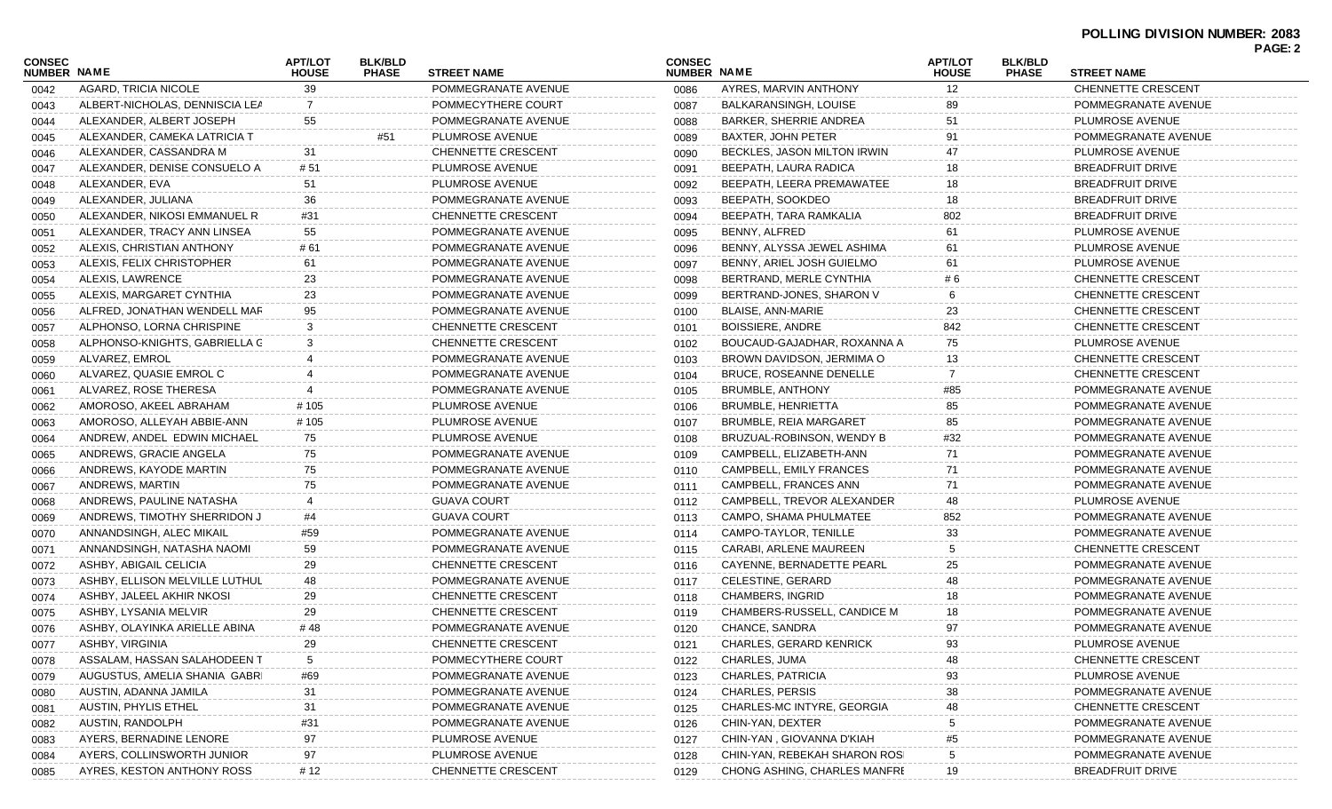| CONSEC<br><b>NUMBER NAME</b> |                                | <b>APT/LOT</b><br><b>HOUSE</b> | <b>BLK/BLD</b><br><b>PHASE</b> | <b>STREET NAME</b>        | <b>CONSEC</b><br>NUMBER NAME |                               | <b>APT/LOT</b><br><b>HOUSE</b> | <b>BLK/BLD</b><br><b>PHASE</b> | <b>STREET NAME</b>        |  |
|------------------------------|--------------------------------|--------------------------------|--------------------------------|---------------------------|------------------------------|-------------------------------|--------------------------------|--------------------------------|---------------------------|--|
| 0042                         | AGARD, TRICIA NICOLE           | 39                             |                                | POMMEGRANATE AVENUE       | 0086                         | AYRES, MARVIN ANTHONY         | $12 \overline{ }$              |                                | CHENNETTE CRESCENT        |  |
| 0043                         | ALBERT-NICHOLAS, DENNISCIA LEA |                                |                                | POMMECYTHERE COURT        | 0087                         | BALKARANSINGH, LOUISE         |                                |                                | POMMEGRANATE AVENUE       |  |
| 0044                         | ALEXANDER, ALBERT JOSEPH       | 55                             |                                | POMMEGRANATE AVENUE       | 0088                         | BARKER, SHERRIE ANDREA        | 51                             |                                | PLUMROSE AVENUE           |  |
| 0045                         | ALEXANDER, CAMEKA LATRICIA T   |                                | #51                            | PLUMROSE AVENUE           | 0089                         | <b>BAXTER, JOHN PETER</b>     | 91                             |                                | POMMEGRANATE AVENUE       |  |
| 0046                         | ALEXANDER, CASSANDRA M         | -31                            |                                | <b>CHENNETTE CRESCENT</b> | 0090                         | BECKLES, JASON MILTON IRWIN   | 47                             |                                | PLUMROSE AVENUE           |  |
| 0047                         | ALEXANDER, DENISE CONSUELO A   | # 51                           |                                | PLUMROSE AVENUE           | 0091                         | BEEPATH, LAURA RADICA         | 18                             |                                | <b>BREADFRUIT DRIVE</b>   |  |
| 0048                         | ALEXANDER, EVA                 | 51                             |                                | PLUMROSE AVENUE           | 0092                         | BEEPATH, LEERA PREMAWATEE     | 18                             |                                | <b>BREADFRUIT DRIVE</b>   |  |
| 0049                         | ALEXANDER, JULIANA             | 36                             |                                | POMMEGRANATE AVENUE       | 0093                         | BEEPATH, SOOKDEO              | 18                             |                                | <b>BREADFRUIT DRIVE</b>   |  |
| 0050                         | ALEXANDER, NIKOSI EMMANUEL R   | #31                            |                                | CHENNETTE CRESCENT        | 0094                         | BEEPATH, TARA RAMKALIA        | 802                            |                                | <b>BREADFRUIT DRIVE</b>   |  |
| 0051                         | ALEXANDER, TRACY ANN LINSEA    | 55                             |                                | POMMEGRANATE AVENUE       | 0095                         | BENNY, ALFRED                 | 61                             |                                | PLUMROSE AVENUE           |  |
| 0052                         | ALEXIS, CHRISTIAN ANTHONY      | # 61                           |                                | POMMEGRANATE AVENUE       | 0096                         | BENNY, ALYSSA JEWEL ASHIMA    | 61                             |                                | PLUMROSE AVENUE           |  |
| 0053                         | ALEXIS, FELIX CHRISTOPHER      | 61                             |                                | POMMEGRANATE AVENUE       | 0097                         | BENNY, ARIEL JOSH GUIELMO     | 61                             |                                | PLUMROSE AVENUE           |  |
| 0054                         | ALEXIS, LAWRENCE               | 23                             |                                | POMMEGRANATE AVENUE       | 0098                         | BERTRAND, MERLE CYNTHIA       | # 6                            |                                | <b>CHENNETTE CRESCENT</b> |  |
| 0055                         | ALEXIS, MARGARET CYNTHIA       | 23                             |                                | POMMEGRANATE AVENUE       | 0099                         | BERTRAND-JONES, SHARON V      | 6                              |                                | <b>CHENNETTE CRESCENT</b> |  |
| 0056                         | ALFRED, JONATHAN WENDELL MAR   | 95                             |                                | POMMEGRANATE AVENUE       | 0100                         | <b>BLAISE, ANN-MARIE</b>      | 23                             |                                | <b>CHENNETTE CRESCENT</b> |  |
| 0057                         | ALPHONSO, LORNA CHRISPINE      | 3                              |                                | CHENNETTE CRESCENT        | 0101                         | <b>BOISSIERE, ANDRE</b>       | 842                            |                                | <b>CHENNETTE CRESCENT</b> |  |
| 0058                         | ALPHONSO-KNIGHTS, GABRIELLA C  | 3                              |                                | CHENNETTE CRESCENT        | 0102                         | BOUCAUD-GAJADHAR, ROXANNA A   | 75                             |                                | PLUMROSE AVENUE           |  |
| 0059                         | ALVAREZ, EMROL                 |                                |                                | POMMEGRANATE AVENUE       | 0103                         | BROWN DAVIDSON, JERMIMA O     | 13                             |                                | <b>CHENNETTE CRESCENT</b> |  |
| 0060                         | ALVAREZ, QUASIE EMROL C        |                                |                                | POMMEGRANATE AVENUE       | 0104                         | BRUCE, ROSEANNE DENELLE       | 7                              |                                | <b>CHENNETTE CRESCENT</b> |  |
| 0061                         | ALVAREZ, ROSE THERESA          |                                |                                | POMMEGRANATE AVENUE       | 0105                         | BRUMBLE, ANTHONY              | #85                            |                                | POMMEGRANATE AVENUE       |  |
| 0062                         | AMOROSO, AKEEL ABRAHAM         | # 105                          |                                | PLUMROSE AVENUE           | 0106                         | <b>BRUMBLE, HENRIETTA</b>     | 85                             |                                | POMMEGRANATE AVENUE       |  |
| 0063                         | AMOROSO, ALLEYAH ABBIE-ANN     | # 105                          |                                | PLUMROSE AVENUE           | 0107                         | <b>BRUMBLE, REIA MARGARET</b> | 85                             |                                | POMMEGRANATE AVENUE       |  |
| 0064                         | ANDREW, ANDEL EDWIN MICHAEL    | 75                             |                                | PLUMROSE AVENUE           | 0108                         | BRUZUAL-ROBINSON, WENDY B     | #32                            |                                | POMMEGRANATE AVENUE       |  |
| 0065                         | ANDREWS, GRACIE ANGELA         | 75                             |                                | POMMEGRANATE AVENUE       | 0109                         | CAMPBELL, ELIZABETH-ANN       | 71                             |                                | POMMEGRANATE AVENUE       |  |
| 0066                         | ANDREWS, KAYODE MARTIN         | 75                             |                                | POMMEGRANATE AVENUE       | 0110                         | CAMPBELL, EMILY FRANCES       | 71                             |                                | POMMEGRANATE AVENUE       |  |
| 0067                         | ANDREWS, MARTIN                | 75                             |                                | POMMEGRANATE AVENUE       | 0111                         | CAMPBELL, FRANCES ANN         | 71                             |                                | POMMEGRANATE AVENUE       |  |
| 0068                         | ANDREWS, PAULINE NATASHA       |                                |                                | <b>GUAVA COURT</b>        | 0112                         | CAMPBELL, TREVOR ALEXANDER    | 48                             |                                | PLUMROSE AVENUE           |  |
| 0069                         | ANDREWS, TIMOTHY SHERRIDON J   | #4                             |                                | <b>GUAVA COURT</b>        | 0113                         | CAMPO, SHAMA PHULMATEE        | 852                            |                                | POMMEGRANATE AVENUE       |  |
| 0070                         | ANNANDSINGH, ALEC MIKAIL       | #59                            |                                | POMMEGRANATE AVENUE       | 0114                         | CAMPO-TAYLOR, TENILLE         | 33                             |                                | POMMEGRANATE AVENUE       |  |
| 0071                         | ANNANDSINGH, NATASHA NAOMI     | 59                             |                                | POMMEGRANATE AVENUE       | 0115                         | CARABI, ARLENE MAUREEN        | 5                              |                                | CHENNETTE CRESCENT        |  |
| 0072                         | ASHBY, ABIGAIL CELICIA         | 29                             |                                | CHENNETTE CRESCENT        | 0116                         | CAYENNE, BERNADETTE PEARL     | 25                             |                                | POMMEGRANATE AVENUE       |  |
| 0073                         | ASHBY, ELLISON MELVILLE LUTHUL | 48                             |                                | POMMEGRANATE AVENUE       | 0117                         | CELESTINE, GERARD             |                                |                                | POMMEGRANATE AVENUE       |  |
| 0074                         | ASHBY, JALEEL AKHIR NKOSI      | 29                             |                                | CHENNETTE CRESCENT        | 0118                         | <b>CHAMBERS, INGRID</b>       | 18                             |                                | POMMEGRANATE AVENUE       |  |
| 0075                         | ASHBY, LYSANIA MELVIR          | 29                             |                                | CHENNETTE CRESCENT        | 0119                         | CHAMBERS-RUSSELL, CANDICE M   | 18                             |                                | POMMEGRANATE AVENUE       |  |
| 0076                         | ASHBY, OLAYINKA ARIELLE ABINA  | # 48                           |                                | POMMEGRANATE AVENUE       | 0120                         | CHANCE, SANDRA                | 97                             |                                | POMMEGRANATE AVENUE       |  |
| 0077                         | ASHBY, VIRGINIA                | 29                             |                                | CHENNETTE CRESCENT        | 0121                         | CHARLES, GERARD KENRICK       | 93.                            |                                | PLUMROSE AVENUE           |  |
| 0078                         | ASSALAM, HASSAN SALAHODEEN T   | 5                              |                                | POMMECYTHERE COURT        | 0122                         | CHARLES, JUMA                 |                                |                                | CHENNETTE CRESCENT        |  |
| 0079                         | AUGUSTUS, AMELIA SHANIA GABRI  | #69                            |                                | POMMEGRANATE AVENUE       | 0123                         | CHARLES, PATRICIA             |                                |                                | PLUMROSE AVENUE           |  |
| 0080                         | AUSTIN, ADANNA JAMILA          | 31                             |                                | POMMEGRANATE AVENUE       | 0124                         | <b>CHARLES, PERSIS</b>        | 38                             |                                | POMMEGRANATE AVENUE       |  |
| 0081                         | AUSTIN, PHYLIS ETHEL           | 31                             |                                | POMMEGRANATE AVENUE       | 0125                         | CHARLES-MC INTYRE, GEORGIA    | 48                             |                                | <b>CHENNETTE CRESCENT</b> |  |
| 0082                         | AUSTIN, RANDOLPH               | #31                            |                                | POMMEGRANATE AVENUE       | 0126                         | CHIN-YAN, DEXTER              |                                |                                | POMMEGRANATE AVENUE       |  |
| 0083                         | AYERS, BERNADINE LENORE        | 97                             |                                | PLUMROSE AVENUE           | 0127                         | CHIN-YAN, GIOVANNA D'KIAH     |                                |                                | POMMEGRANATE AVENUE       |  |
| 0084                         | AYERS, COLLINSWORTH JUNIOR     | 97                             |                                | PLUMROSE AVENUE           | 0128                         | CHIN-YAN, REBEKAH SHARON ROSI |                                |                                | POMMEGRANATE AVENUE       |  |
|                              | AYRES, KESTON ANTHONY ROSS     | # 12                           |                                | CHENNETTE CRESCENT        | 0129                         | CHONG ASHING, CHARLES MANFRE  | 19                             |                                | BREADFRUIT DRIVE          |  |
| 0085                         |                                |                                |                                |                           |                              |                               |                                |                                |                           |  |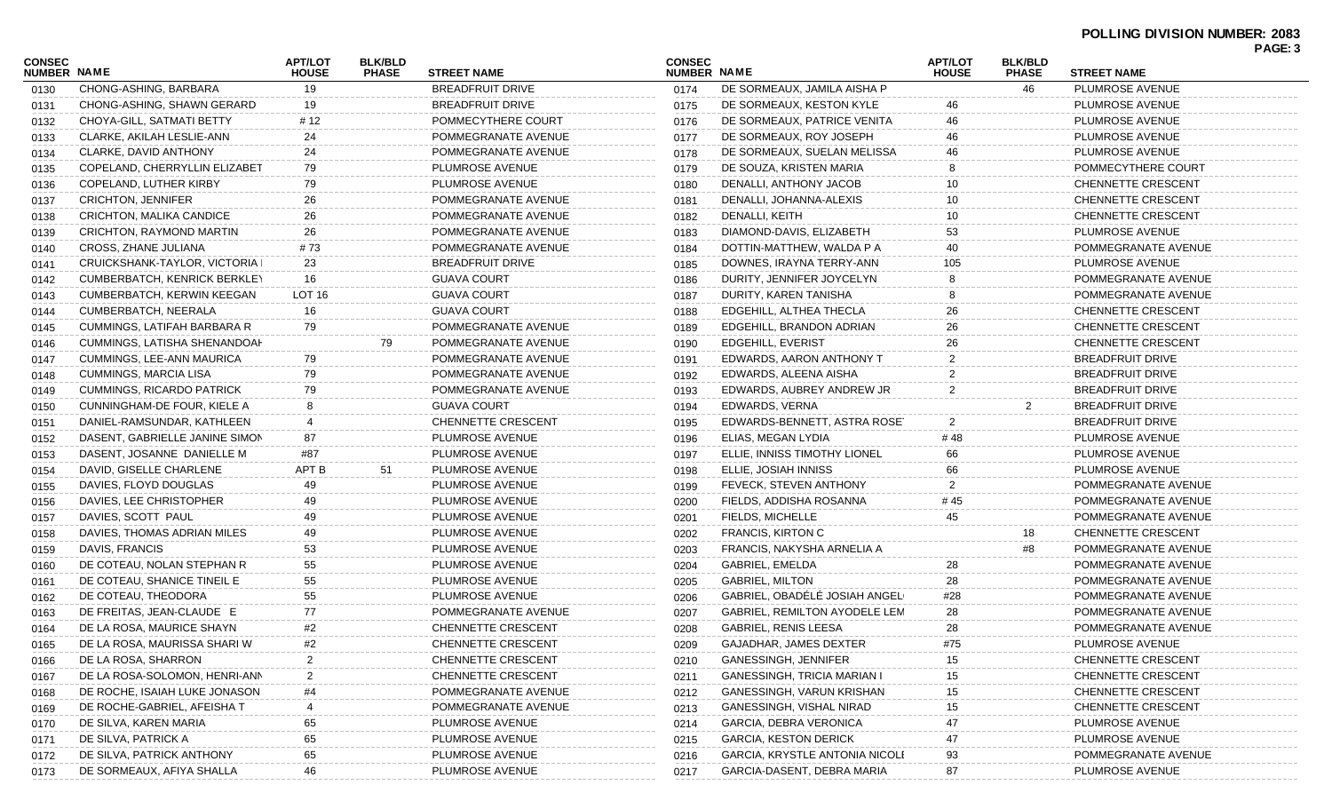| <b>CONSEC</b><br>NUMBER NAME |                                   | <b>APT/LOT</b><br><b>HOUSE</b> | <b>BLK/BLD</b><br><b>PHASE</b> | <b>STREET NAME</b>        | <b>CONSEC</b><br>NUMBER NAME |                                    | <b>APT/LOT</b><br><b>HOUSE</b> | <b>BLK/BLD</b><br><b>PHASE</b> | <b>STREET NAME</b>        |  |
|------------------------------|-----------------------------------|--------------------------------|--------------------------------|---------------------------|------------------------------|------------------------------------|--------------------------------|--------------------------------|---------------------------|--|
| 0130                         | CHONG-ASHING, BARBARA             | 19                             |                                | <b>BREADFRUIT DRIVE</b>   | 0174                         | DE SORMEAUX, JAMILA AISHA P        |                                | 46                             | PLUMROSE AVENUE           |  |
| 0131                         | CHONG-ASHING, SHAWN GERARD        | 19                             |                                | BREADFRUIT DRIVE          | 0175                         | DE SORMEAUX, KESTON KYLE           | 46                             |                                | PLUMROSE AVENUE           |  |
| 0132                         | CHOYA-GILL, SATMATI BETTY         | # 12                           |                                | POMMECYTHERE COURT        | 0176                         | DE SORMEAUX, PATRICE VENITA        | 46                             |                                | PLUMROSE AVENUE           |  |
| 0133                         | CLARKE, AKILAH LESLIE-ANN         | 24                             |                                | POMMEGRANATE AVENUE       | 0177                         | DE SORMEAUX, ROY JOSEPH            | 46                             |                                | PLUMROSE AVENUE           |  |
| 0134                         | CLARKE, DAVID ANTHONY             | 24                             |                                | POMMEGRANATE AVENUE       | 0178                         | DE SORMEAUX, SUELAN MELISSA        | 46                             |                                | PLUMROSE AVENUE           |  |
| 0135                         | COPELAND, CHERRYLLIN ELIZABET     | 79                             |                                | PLUMROSE AVENUE           | 0179                         | DE SOUZA, KRISTEN MARIA            |                                |                                | POMMECYTHERE COURT        |  |
| 0136                         | COPELAND, LUTHER KIRBY            | 79                             |                                | PLUMROSE AVENUE           | 0180                         | DENALLI, ANTHONY JACOB             | 10                             |                                | CHENNETTE CRESCENT        |  |
| 0137                         | <b>CRICHTON, JENNIFER</b>         | 26                             |                                | POMMEGRANATE AVENUE       | 0181                         | DENALLI, JOHANNA-ALEXIS            | 10                             |                                | CHENNETTE CRESCENT        |  |
| 0138                         | <b>CRICHTON, MALIKA CANDICE</b>   | 26                             |                                | POMMEGRANATE AVENUE       | 0182                         | DENALLI, KEITH                     |                                |                                | CHENNETTE CRESCENT        |  |
| 0139                         | CRICHTON, RAYMOND MARTIN          | 26                             |                                | POMMEGRANATE AVENUE       | 0183                         | DIAMOND-DAVIS, ELIZABETH           | 53                             |                                | PLUMROSE AVENUE           |  |
| 0140                         | CROSS, ZHANE JULIANA              | #73                            |                                | POMMEGRANATE AVENUE       | 0184                         | DOTTIN-MATTHEW, WALDA P A          | 40                             |                                | POMMEGRANATE AVENUE       |  |
| 0141                         | CRUICKSHANK-TAYLOR, VICTORIA I    | 23                             |                                | <b>BREADFRUIT DRIVE</b>   | 0185                         | DOWNES, IRAYNA TERRY-ANN           | 105                            |                                | PLUMROSE AVENUE           |  |
| 0142                         | CUMBERBATCH, KENRICK BERKLEY      | 16                             |                                | <b>GUAVA COURT</b>        | 0186                         | DURITY, JENNIFER JOYCELYN          |                                |                                | POMMEGRANATE AVENUE       |  |
| 0143                         | <b>CUMBERBATCH, KERWIN KEEGAN</b> | LOT 16                         |                                | <b>GUAVA COURT</b>        | 0187                         | DURITY, KAREN TANISHA              |                                |                                | POMMEGRANATE AVENUE       |  |
| 0144                         | CUMBERBATCH, NEERALA              | 16                             |                                | <b>GUAVA COURT</b>        | 0188                         | EDGEHILL, ALTHEA THECLA            | 26                             |                                | CHENNETTE CRESCENT        |  |
| 0145                         | CUMMINGS, LATIFAH BARBARA R       | 79                             |                                | POMMEGRANATE AVENUE       | 0189                         | EDGEHILL, BRANDON ADRIAN           | 26                             |                                | CHENNETTE CRESCENT        |  |
| 0146                         | CUMMINGS, LATISHA SHENANDOAH      |                                | 79                             | POMMEGRANATE AVENUE       | 0190                         | EDGEHILL, EVERIST                  | 26                             |                                | CHENNETTE CRESCENT        |  |
| 0147                         | CUMMINGS, LEE-ANN MAURICA         | 79                             |                                | POMMEGRANATE AVENUE       | 0191                         | EDWARDS, AARON ANTHONY T           | 2                              |                                | <b>BREADFRUIT DRIVE</b>   |  |
| 0148                         | <b>CUMMINGS, MARCIA LISA</b>      | 79                             |                                | POMMEGRANATE AVENUE       | 0192                         | EDWARDS, ALEENA AISHA              | 2                              |                                | <b>BREADFRUIT DRIVE</b>   |  |
| 0149                         | <b>CUMMINGS, RICARDO PATRICK</b>  | 79                             |                                | POMMEGRANATE AVENUE       | 0193                         | EDWARDS, AUBREY ANDREW JR          | 2                              |                                | <b>BREADFRUIT DRIVE</b>   |  |
| 0150                         | CUNNINGHAM-DE FOUR, KIELE A       |                                |                                | <b>GUAVA COURT</b>        | 0194                         | EDWARDS, VERNA                     |                                | 2                              | <b>BREADFRUIT DRIVE</b>   |  |
| 0151                         | DANIEL-RAMSUNDAR, KATHLEEN        |                                |                                | CHENNETTE CRESCENT        | 0195                         | EDWARDS-BENNETT, ASTRA ROSE        | 2                              |                                | <b>BREADFRUIT DRIVE</b>   |  |
| 0152                         | DASENT, GABRIELLE JANINE SIMON    | 87                             |                                | PLUMROSE AVENUE           | 0196                         | ELIAS, MEGAN LYDIA                 | #48                            |                                | PLUMROSE AVENUE           |  |
| 0153                         | DASENT, JOSANNE DANIELLE M        | #87                            |                                | PLUMROSE AVENUE           | 0197                         | ELLIE, INNISS TIMOTHY LIONEL       | 66                             |                                | PLUMROSE AVENUE           |  |
| 0154                         | DAVID, GISELLE CHARLENE           | APT B                          | 51                             | PLUMROSE AVENUE           | 0198                         | ELLIE, JOSIAH INNISS               | 66                             |                                | PLUMROSE AVENUE           |  |
| 0155                         | DAVIES, FLOYD DOUGLAS             | 49                             |                                | PLUMROSE AVENUE           | 0199                         | FEVECK, STEVEN ANTHONY             | 2                              |                                | POMMEGRANATE AVENUE       |  |
| 0156                         | DAVIES, LEE CHRISTOPHER           | 49                             |                                | PLUMROSE AVENUE           | 0200                         | FIELDS, ADDISHA ROSANNA            | # 45                           |                                | POMMEGRANATE AVENUE       |  |
| 0157                         | DAVIES, SCOTT PAUL                | 49                             |                                | PLUMROSE AVENUE           | 0201                         | FIELDS, MICHELLE                   | 45                             |                                | POMMEGRANATE AVENUE       |  |
| 0158                         | DAVIES, THOMAS ADRIAN MILES       | 49                             |                                | PLUMROSE AVENUE           | 0202                         | <b>FRANCIS, KIRTON C</b>           |                                | 18                             | CHENNETTE CRESCENT        |  |
| 0159                         | DAVIS, FRANCIS                    | 53                             |                                | PLUMROSE AVENUE           | 0203                         | FRANCIS, NAKYSHA ARNELIA A         |                                | #8                             | POMMEGRANATE AVENUE       |  |
| 0160                         | DE COTEAU, NOLAN STEPHAN R        | 55                             |                                | PLUMROSE AVENUE           | 0204                         | GABRIEL, EMELDA                    | 28                             |                                | POMMEGRANATE AVENUE       |  |
| 0161                         | DE COTEAU, SHANICE TINEIL E       | 55                             |                                | PLUMROSE AVENUE           | 0205                         | <b>GABRIEL, MILTON</b>             | 28                             |                                | POMMEGRANATE AVENUE       |  |
| 0162                         | DE COTEAU, THEODORA               | 55                             |                                | PLUMROSE AVENUE           | 0206                         | GABRIEL, OBADÉLÉ JOSIAH ANGEL      | #28                            |                                | POMMEGRANATE AVENUE       |  |
| 0163                         | DE FREITAS, JEAN-CLAUDE E         | 77                             |                                | POMMEGRANATE AVENUE       | 0207                         | GABRIEL, REMILTON AYODELE LEM      | 28                             |                                | POMMEGRANATE AVENUE       |  |
| 0164                         | DE LA ROSA, MAURICE SHAYN         | #2                             |                                | <b>CHENNETTE CRESCENT</b> | 0208                         | <b>GABRIEL, RENIS LEESA</b>        | 28                             |                                | POMMEGRANATE AVENUE       |  |
| 0165                         | DE LA ROSA, MAURISSA SHARI W      | #2                             |                                | CHENNETTE CRESCENT        | 0209                         | GAJADHAR, JAMES DEXTER             | #75                            |                                | PLUMROSE AVENUE           |  |
| 0166                         | DE LA ROSA, SHARRON               |                                |                                | CHENNETTE CRESCENT        | 0210                         | GANESSINGH, JENNIFER               |                                |                                | CHENNETTE CRESCENT        |  |
| 0167                         | DE LA ROSA-SOLOMON, HENRI-ANN     |                                |                                | <b>CHENNETTE CRESCENT</b> | 0211                         | <b>GANESSINGH, TRICIA MARIAN I</b> |                                |                                | <b>CHENNETTE CRESCENT</b> |  |
| 0168                         | DE ROCHE, ISAIAH LUKE JONASON     |                                |                                | POMMEGRANATE AVENUE       | 0212                         | GANESSINGH, VARUN KRISHAN          | 15                             |                                | <b>CHENNETTE CRESCENT</b> |  |
| 0169                         | DE ROCHE-GABRIEL, AFEISHA T       |                                |                                | POMMEGRANATE AVENUE       | 0213                         | GANESSINGH, VISHAL NIRAD           |                                |                                | <b>CHENNETTE CRESCENT</b> |  |
| 0170                         | DE SILVA, KAREN MARIA             | 65                             |                                | PLUMROSE AVENUE           | 0214                         | GARCIA, DEBRA VERONICA             |                                |                                | PLUMROSE AVENUE           |  |
| 0171                         | DE SILVA, PATRICK A               | 65                             |                                | PLUMROSE AVENUE           | 0215                         | <b>GARCIA, KESTON DERICK</b>       | 47                             |                                | PLUMROSE AVENUE           |  |
| 0172                         | DE SILVA, PATRICK ANTHONY         | 65                             |                                | PLUMROSE AVENUE           | 0216                         | GARCIA, KRYSTLE ANTONIA NICOLI     | 93                             |                                | POMMEGRANATE AVENUE       |  |
| 0173                         | DE SORMEAUX, AFIYA SHALLA         | 46                             |                                | PLUMROSE AVENUE           | 0217                         | GARCIA-DASENT, DEBRA MARIA         | 87                             |                                | PLUMROSE AVENUE           |  |
|                              |                                   |                                |                                |                           |                              |                                    |                                |                                |                           |  |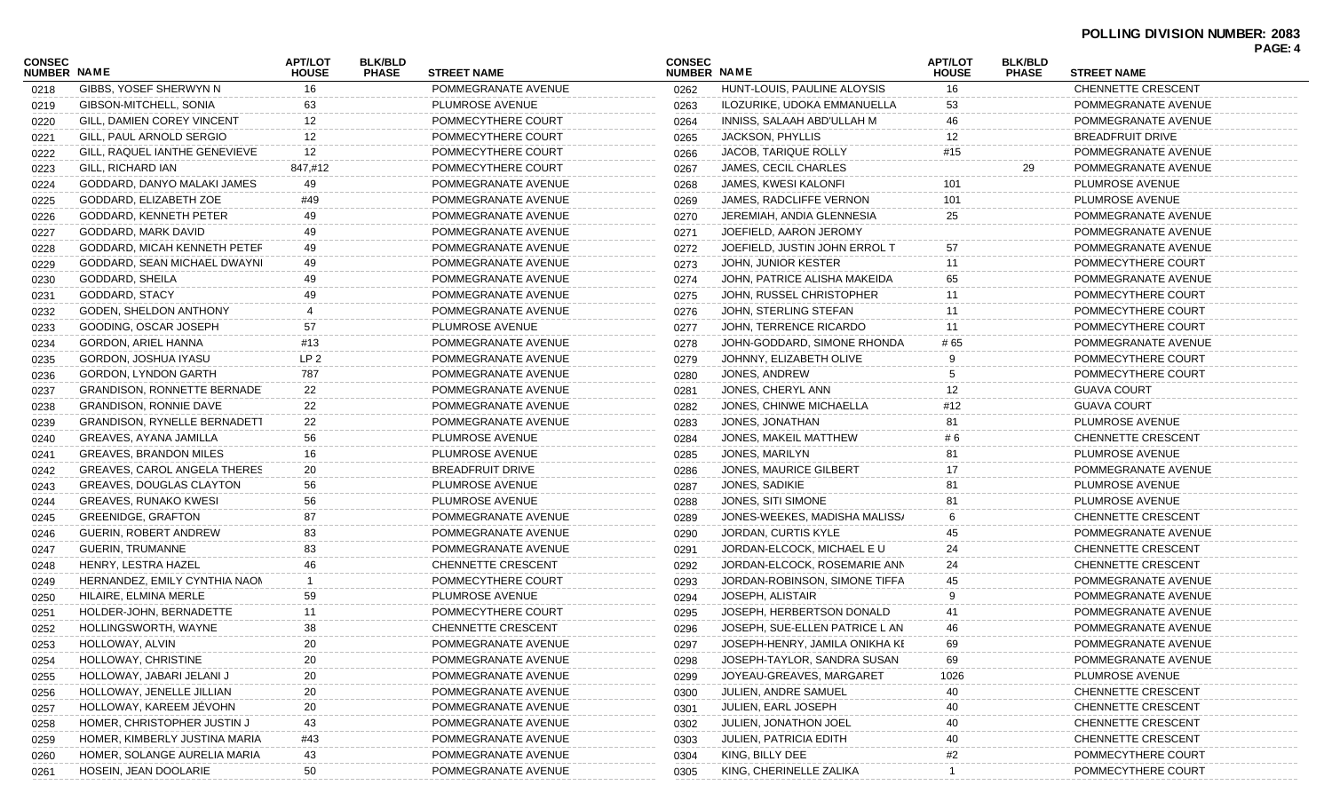| CONSEC<br><b>NUMBER NAME</b> |                                     | <b>APT/LOT</b><br><b>HOUSE</b> | <b>BLK/BLD</b><br><b>PHASE</b> | <b>STREET NAME</b>  | <b>CONSEC</b><br><b>NUMBER NAME</b> |                                | <b>APT/LOT</b><br><b>HOUSE</b> | <b>BLK/BLD</b><br><b>PHASE</b> | <b>STREET NAME</b>        |  |
|------------------------------|-------------------------------------|--------------------------------|--------------------------------|---------------------|-------------------------------------|--------------------------------|--------------------------------|--------------------------------|---------------------------|--|
| 0218                         | GIBBS, YOSEF SHERWYN N              | 16                             |                                | POMMEGRANATE AVENUE | 0262                                | HUNT-LOUIS, PAULINE ALOYSIS    | 16                             |                                | CHENNETTE CRESCENT        |  |
| 0219                         | GIBSON-MITCHELL, SONIA              | 63                             |                                | PLUMROSE AVENUE     | 0263                                | ILOZURIKE, UDOKA EMMANUELLA    | 53                             |                                | POMMEGRANATE AVENUE       |  |
| 0220                         | GILL, DAMIEN COREY VINCENT          | 12                             |                                | POMMECYTHERE COURT  | 0264                                | INNISS, SALAAH ABD'ULLAH M     | 46                             |                                | POMMEGRANATE AVENUE       |  |
| 0221                         | GILL, PAUL ARNOLD SERGIO            | 12                             |                                | POMMECYTHERE COURT  | 0265                                | JACKSON, PHYLLIS               | 12                             |                                | <b>BREADFRUIT DRIVE</b>   |  |
| 0222                         | GILL, RAQUEL IANTHE GENEVIEVE       | 12                             |                                | POMMECYTHERE COURT  | 0266                                | JACOB, TARIQUE ROLLY           | #15                            |                                | POMMEGRANATE AVENUE       |  |
| 0223                         | GILL, RICHARD IAN                   | 847,#12                        |                                | POMMECYTHERE COURT  | 0267                                | JAMES, CECIL CHARLES           |                                | 29                             | POMMEGRANATE AVENUE       |  |
| 0224                         | GODDARD, DANYO MALAKI JAMES         | 49                             |                                | POMMEGRANATE AVENUE | 0268                                | <b>JAMES, KWESI KALONFI</b>    | 101                            |                                | PLUMROSE AVENUE           |  |
| 0225                         | GODDARD, ELIZABETH ZOE              | #49                            |                                | POMMEGRANATE AVENUE | 0269                                | JAMES, RADCLIFFE VERNON        | 101                            |                                | PLUMROSE AVENUE           |  |
| 0226                         | GODDARD, KENNETH PETER              | 49                             |                                | POMMEGRANATE AVENUE | 0270                                | JEREMIAH, ANDIA GLENNESIA      | 25                             |                                | POMMEGRANATE AVENUE       |  |
| 0227                         | GODDARD, MARK DAVID                 | 49                             |                                | POMMEGRANATE AVENUE | 0271                                | JOEFIELD, AARON JEROMY         |                                |                                | POMMEGRANATE AVENUE       |  |
| 0228                         | GODDARD, MICAH KENNETH PETEF        | 49                             |                                | POMMEGRANATE AVENUE | 0272                                | JOEFIELD, JUSTIN JOHN ERROL T  | 57                             |                                | POMMEGRANATE AVENUE       |  |
| 0229                         | GODDARD, SEAN MICHAEL DWAYNI        | 49                             |                                | POMMEGRANATE AVENUE | 0273                                | JOHN, JUNIOR KESTER            | 11                             |                                | POMMECYTHERE COURT        |  |
| 0230                         | GODDARD, SHEILA                     | 49                             |                                | POMMEGRANATE AVENUE | 0274                                | JOHN, PATRICE ALISHA MAKEIDA   | 65                             |                                | POMMEGRANATE AVENUE       |  |
| 0231                         | GODDARD, STACY                      | 49                             |                                | POMMEGRANATE AVENUE | 0275                                | JOHN, RUSSEL CHRISTOPHER       | 11                             |                                | POMMECYTHERE COURT        |  |
| 0232                         | GODEN, SHELDON ANTHONY              |                                |                                | POMMEGRANATE AVENUE | 0276                                | JOHN, STERLING STEFAN          | 11                             |                                | POMMECYTHERE COURT        |  |
| 0233                         | GOODING, OSCAR JOSEPH               | 57                             |                                | PLUMROSE AVENUE     | 0277                                | JOHN, TERRENCE RICARDO         | 11                             |                                | POMMECYTHERE COURT        |  |
| 0234                         | GORDON, ARIEL HANNA                 | #13                            |                                | POMMEGRANATE AVENUE | 0278                                | JOHN-GODDARD, SIMONE RHONDA    | # 65                           |                                | POMMEGRANATE AVENUE       |  |
| 0235                         | GORDON, JOSHUA IYASU                | LP <sub>2</sub>                |                                | POMMEGRANATE AVENUE | 0279                                | JOHNNY, ELIZABETH OLIVE        |                                |                                | POMMECYTHERE COURT        |  |
| 0236                         | GORDON, LYNDON GARTH                | 787                            |                                | POMMEGRANATE AVENUE | 0280                                | JONES, ANDREW                  | 5                              |                                | POMMECYTHERE COURT        |  |
| 0237                         | <b>GRANDISON, RONNETTE BERNADE</b>  | 22                             |                                | POMMEGRANATE AVENUE | 0281                                | JONES, CHERYL ANN              | 12                             |                                | <b>GUAVA COURT</b>        |  |
| 0238                         | <b>GRANDISON, RONNIE DAVE</b>       | 22                             |                                | POMMEGRANATE AVENUE | 0282                                | JONES, CHINWE MICHAELLA        | #12                            |                                | <b>GUAVA COURT</b>        |  |
| 0239                         | <b>GRANDISON, RYNELLE BERNADETT</b> | 22                             |                                | POMMEGRANATE AVENUE | 0283                                | JONES, JONATHAN                | 81                             |                                | PLUMROSE AVENUE           |  |
| 0240                         | GREAVES, AYANA JAMILLA              | 56                             |                                | PLUMROSE AVENUE     | 0284                                | JONES, MAKEIL MATTHEW          | # 6                            |                                | CHENNETTE CRESCENT        |  |
| 0241                         | <b>GREAVES, BRANDON MILES</b>       | 16                             |                                | PLUMROSE AVENUE     | 0285                                | JONES, MARILYN                 | 81                             |                                | PLUMROSE AVENUE           |  |
| 0242                         | GREAVES, CAROL ANGELA THERES        | 20                             |                                | BREADFRUIT DRIVE    | 0286                                | <b>JONES, MAURICE GILBERT</b>  | 17                             |                                | POMMEGRANATE AVENUE       |  |
| 0243                         | GREAVES, DOUGLAS CLAYTON            | 56                             |                                | PLUMROSE AVENUE     | 0287                                | JONES, SADIKIE                 | 81                             |                                | PLUMROSE AVENUE           |  |
| 0244                         | <b>GREAVES, RUNAKO KWESI</b>        | 56                             |                                | PLUMROSE AVENUE     | 0288                                | JONES, SITI SIMONE             | 81                             |                                | PLUMROSE AVENUE           |  |
| 0245                         | <b>GREENIDGE, GRAFTON</b>           | 87                             |                                | POMMEGRANATE AVENUE | 0289                                | JONES-WEEKES, MADISHA MALISS/  |                                |                                | CHENNETTE CRESCENT        |  |
| 0246                         | GUERIN, ROBERT ANDREW               | 83                             |                                | POMMEGRANATE AVENUE | 0290                                | JORDAN, CURTIS KYLE            | 45                             |                                | POMMEGRANATE AVENUE       |  |
| 0247                         | <b>GUERIN, TRUMANNE</b>             | 83                             |                                | POMMEGRANATE AVENUE | 0291                                | JORDAN-ELCOCK, MICHAEL E U     | 24                             |                                | <b>CHENNETTE CRESCENT</b> |  |
| 0248                         | HENRY, LESTRA HAZEL                 | 46                             |                                | CHENNETTE CRESCENT  | 0292                                | JORDAN-ELCOCK, ROSEMARIE ANN   | 24                             |                                | CHENNETTE CRESCENT        |  |
| 0249                         | HERNANDEZ, EMILY CYNTHIA NAON       | -1                             |                                | POMMECYTHERE COURT  | 0293                                | JORDAN-ROBINSON, SIMONE TIFFA  | 45                             |                                | POMMEGRANATE AVENUE       |  |
| 0250                         | HILAIRE, ELMINA MERLE               | 59                             |                                | PLUMROSE AVENUE     | 0294                                | JOSEPH, ALISTAIR               | 9                              |                                | POMMEGRANATE AVENUE       |  |
| 0251                         | HOLDER-JOHN, BERNADETTE             | 11                             |                                | POMMECYTHERE COURT  | 0295                                | JOSEPH, HERBERTSON DONALD      | 41                             |                                | POMMEGRANATE AVENUE       |  |
| 0252                         | HOLLINGSWORTH, WAYNE                | 38                             |                                | CHENNETTE CRESCENT  | 0296                                | JOSEPH, SUE-ELLEN PATRICE L AN | 46                             |                                | POMMEGRANATE AVENUE       |  |
| 0253                         | HOLLOWAY, ALVIN                     | 20                             |                                | POMMEGRANATE AVENUE | 0297                                | JOSEPH-HENRY, JAMILA ONIKHA KE | 69.                            |                                | POMMEGRANATE AVENUE       |  |
| 0254                         | HOLLOWAY, CHRISTINE                 | 20                             |                                | POMMEGRANATE AVENUE | 0298                                | JOSEPH-TAYLOR, SANDRA SUSAN    | 69                             |                                | POMMEGRANATE AVENUE       |  |
| 0255                         | HOLLOWAY, JABARI JELANI J           | 20                             |                                | POMMEGRANATE AVENUE | 0299                                | JOYEAU-GREAVES, MARGARET       | 1026                           |                                | PLUMROSE AVENUE           |  |
| 0256                         | HOLLOWAY, JENELLE JILLIAN           | 20                             |                                | POMMEGRANATE AVENUE | 0300                                | JULIEN, ANDRE SAMUEL           |                                |                                | <b>CHENNETTE CRESCENT</b> |  |
| 0257                         | HOLLOWAY, KAREEM JEVOHN             | 20                             |                                | POMMEGRANATE AVENUE | 0301                                | JULIEN, EARL JOSEPH            |                                |                                | <b>CHENNETTE CRESCENT</b> |  |
| 0258                         | HOMER, CHRISTOPHER JUSTIN J         | 43                             |                                | POMMEGRANATE AVENUE | 0302                                | JULIEN, JONATHON JOEL          | 40                             |                                | CHENNETTE CRESCENT        |  |
| 0259                         | HOMER, KIMBERLY JUSTINA MARIA       | #43                            |                                | POMMEGRANATE AVENUE | 0303                                | <b>JULIEN, PATRICIA EDITH</b>  | 40                             |                                | CHENNETTE CRESCENT        |  |
| 0260                         | HOMER, SOLANGE AURELIA MARIA        | 43                             |                                | POMMEGRANATE AVENUE | 0304                                | KING, BILLY DEE                | #2                             |                                | POMMECYTHERE COURT        |  |
| 0261                         | HOSEIN, JEAN DOOLARIE               | 50                             |                                | POMMEGRANATE AVENUE | 0305                                | KING, CHERINELLE ZALIKA        |                                |                                | POMMECYTHERE COURT        |  |
|                              |                                     |                                |                                |                     |                                     |                                |                                |                                |                           |  |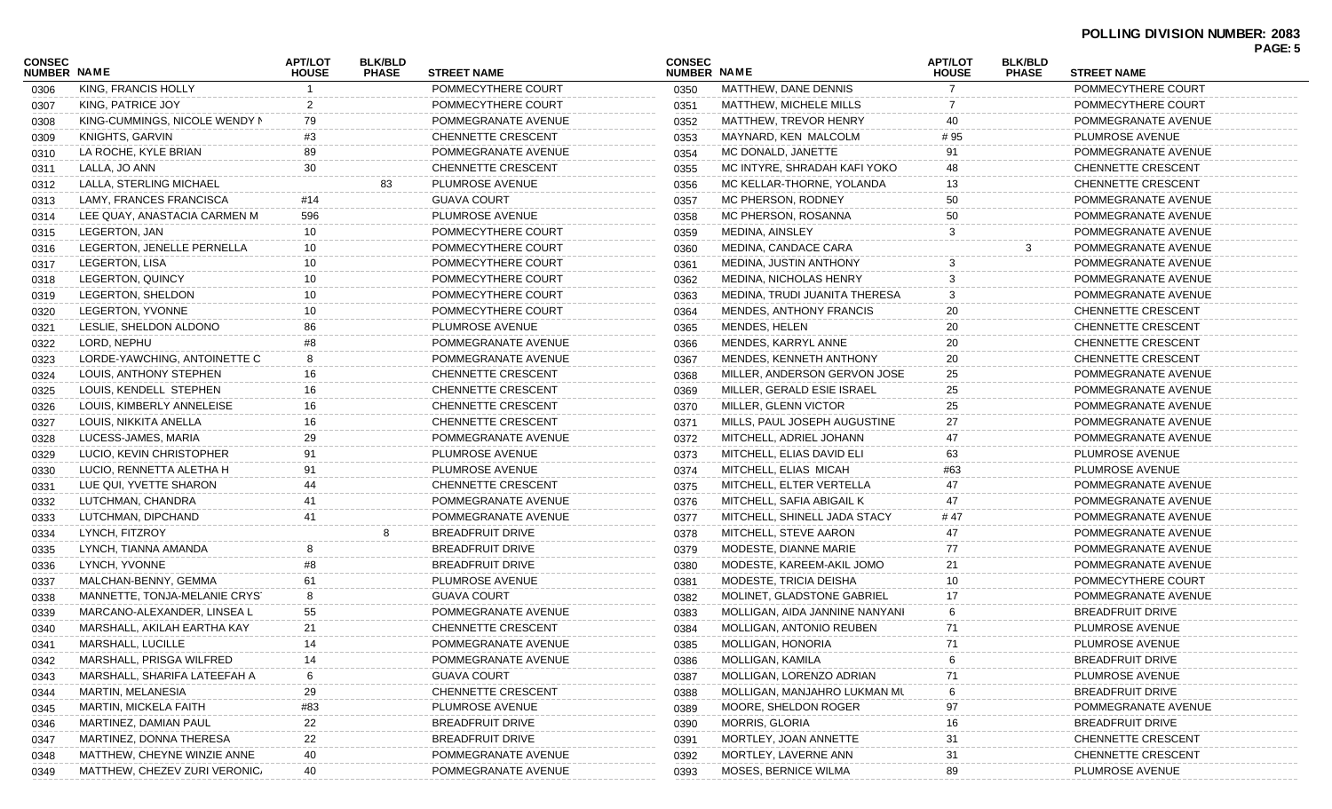| CONSEC<br><b>NUMBER NAME</b> |                               | <b>APT/LOT</b>                 | <b>BLK/BLD</b><br><b>PHASE</b> | <b>STREET NAME</b>        | <b>CONSEC</b><br>NUMBER NAME |                                | <b>APT/LOT</b>                 | <b>BLK/BLD</b> | <b>STREET NAME</b>        | <b>PAGE: 5</b> |
|------------------------------|-------------------------------|--------------------------------|--------------------------------|---------------------------|------------------------------|--------------------------------|--------------------------------|----------------|---------------------------|----------------|
| 0306                         | KING, FRANCIS HOLLY           | <b>HOUSE</b><br>$\overline{1}$ |                                | POMMECYTHERE COURT        | 0350                         | MATTHEW, DANE DENNIS           | <b>HOUSE</b><br>$\overline{7}$ | <b>PHASE</b>   | POMMECYTHERE COURT        |                |
| 0307                         | KING, PATRICE JOY             | $\overline{2}$                 |                                | POMMECYTHERE COURT        | 0351                         | MATTHEW, MICHELE MILLS         | 7                              |                | POMMECYTHERE COURT        |                |
| 0308                         | KING-CUMMINGS, NICOLE WENDY N | 79                             |                                | POMMEGRANATE AVENUE       | 0352                         | MATTHEW, TREVOR HENRY          | 40                             |                | POMMEGRANATE AVENUE       |                |
| 0309                         | KNIGHTS, GARVIN               | #3                             |                                | <b>CHENNETTE CRESCENT</b> | 0353                         | MAYNARD, KEN MALCOLM           | #95                            |                | PLUMROSE AVENUE           |                |
| 0310                         | LA ROCHE, KYLE BRIAN          | 89                             |                                | POMMEGRANATE AVENUE       | 0354                         | MC DONALD, JANETTE             | 91                             |                | POMMEGRANATE AVENUE       |                |
|                              | LALLA, JO ANN                 | 30                             |                                | <b>CHENNETTE CRESCENT</b> | 0355                         | MC INTYRE, SHRADAH KAFI YOKO   | 48                             |                | CHENNETTE CRESCENT        |                |
| 0311                         | LALLA, STERLING MICHAEL       |                                | 83                             | PLUMROSE AVENUE           |                              | MC KELLAR-THORNE, YOLANDA      | 13                             |                | <b>CHENNETTE CRESCENT</b> |                |
| 0312                         |                               |                                |                                | <b>GUAVA COURT</b>        | 0356                         |                                | 50                             |                | POMMEGRANATE AVENUE       |                |
| 0313                         | LAMY, FRANCES FRANCISCA       | #14<br>596                     |                                | PLUMROSE AVENUE           | 0357                         | MC PHERSON, RODNEY             | 50                             |                |                           |                |
| 0314                         | LEE QUAY, ANASTACIA CARMEN M  |                                |                                |                           | 0358                         | MC PHERSON, ROSANNA            |                                |                | POMMEGRANATE AVENUE       |                |
| 0315                         | LEGERTON, JAN                 | 10                             |                                | POMMECYTHERE COURT        | 0359                         | MEDINA, AINSLEY                | 3                              |                | POMMEGRANATE AVENUE       |                |
| 0316                         | LEGERTON, JENELLE PERNELLA    | 10                             |                                | POMMECYTHERE COURT        | 0360                         | MEDINA, CANDACE CARA           |                                | 3              | POMMEGRANATE AVENUE       |                |
| 0317                         | LEGERTON, LISA                | 10                             |                                | POMMECYTHERE COURT        | 0361                         | MEDINA, JUSTIN ANTHONY         | 3                              |                | POMMEGRANATE AVENUE       |                |
| 0318                         | LEGERTON, QUINCY              | 10                             |                                | POMMECYTHERE COURT        | 0362                         | <b>MEDINA, NICHOLAS HENRY</b>  | 3                              |                | POMMEGRANATE AVENUE       |                |
| 0319                         | LEGERTON, SHELDON             | 10                             |                                | POMMECYTHERE COURT        | 0363                         | MEDINA, TRUDI JUANITA THERESA  | 3                              |                | POMMEGRANATE AVENUE       |                |
| 0320                         | LEGERTON, YVONNE              | 10                             |                                | POMMECYTHERE COURT        | 0364                         | <b>MENDES, ANTHONY FRANCIS</b> | 20                             |                | CHENNETTE CRESCENT        |                |
| 0321                         | LESLIE, SHELDON ALDONO        | 86                             |                                | PLUMROSE AVENUE           | 0365                         | MENDES, HELEN                  | 20                             |                | <b>CHENNETTE CRESCENT</b> |                |
| 0322                         | LORD, NEPHU                   | #8                             |                                | POMMEGRANATE AVENUE       | 0366                         | MENDES, KARRYL ANNE            | 20                             |                | <b>CHENNETTE CRESCENT</b> |                |
| 0323                         | LORDE-YAWCHING, ANTOINETTE C  | 8                              |                                | POMMEGRANATE AVENUE       | 0367                         | <b>MENDES, KENNETH ANTHONY</b> | 20                             |                | CHENNETTE CRESCENT        |                |
| 0324                         | LOUIS, ANTHONY STEPHEN        | 16                             |                                | <b>CHENNETTE CRESCENT</b> | 0368                         | MILLER, ANDERSON GERVON JOSE   | 25                             |                | POMMEGRANATE AVENUE       |                |
| 0325                         | LOUIS, KENDELL STEPHEN        | 16                             |                                | <b>CHENNETTE CRESCENT</b> | 0369                         | MILLER, GERALD ESIE ISRAEL     | 25                             |                | POMMEGRANATE AVENUE       |                |
| 0326                         | LOUIS, KIMBERLY ANNELEISE     | 16                             |                                | CHENNETTE CRESCENT        | 0370                         | MILLER, GLENN VICTOR           | 25                             |                | POMMEGRANATE AVENUE       |                |
| 0327                         | LOUIS, NIKKITA ANELLA         | 16                             |                                | CHENNETTE CRESCENT        | 0371                         | MILLS, PAUL JOSEPH AUGUSTINE   | 27                             |                | POMMEGRANATE AVENUE       |                |
| 0328                         | LUCESS-JAMES, MARIA           | 29                             |                                | POMMEGRANATE AVENUE       | 0372                         | MITCHELL, ADRIEL JOHANN        | 47                             |                | POMMEGRANATE AVENUE       |                |
| 0329                         | LUCIO, KEVIN CHRISTOPHER      | 91                             |                                | PLUMROSE AVENUE           | 0373                         | MITCHELL, ELIAS DAVID ELI      | 63                             |                | PLUMROSE AVENUE           |                |
| 0330                         | LUCIO, RENNETTA ALETHA H      | 91                             |                                | PLUMROSE AVENUE           | 0374                         | MITCHELL, ELIAS MICAH          | #63                            |                | PLUMROSE AVENUE           |                |
| 0331                         | LUE QUI, YVETTE SHARON        | 44                             |                                | <b>CHENNETTE CRESCENT</b> | 0375                         | MITCHELL, ELTER VERTELLA       | 47                             |                | POMMEGRANATE AVENUE       |                |
| 0332                         | LUTCHMAN, CHANDRA             | 41                             |                                | POMMEGRANATE AVENUE       | 0376                         | MITCHELL, SAFIA ABIGAIL K      | 47                             |                | POMMEGRANATE AVENUE       |                |
| 0333                         | LUTCHMAN, DIPCHAND            | 41                             |                                | POMMEGRANATE AVENUE       | 0377                         | MITCHELL, SHINELL JADA STACY   | # 47                           |                | POMMEGRANATE AVENUE       |                |
| 0334                         | LYNCH, FITZROY                |                                |                                | <b>BREADFRUIT DRIVE</b>   | 0378                         | MITCHELL, STEVE AARON          | 47                             |                | POMMEGRANATE AVENUE       |                |
| 0335                         | LYNCH, TIANNA AMANDA          | 8                              |                                | <b>BREADFRUIT DRIVE</b>   | 0379                         | MODESTE, DIANNE MARIE          | 77                             |                | POMMEGRANATE AVENUE       |                |
| 0336                         | LYNCH, YVONNE                 | #8                             |                                | <b>BREADFRUIT DRIVE</b>   | 0380                         | MODESTE, KAREEM-AKIL JOMO      | 21                             |                | POMMEGRANATE AVENUE       |                |
| 0337                         | MALCHAN-BENNY, GEMMA          | 61                             |                                | PLUMROSE AVENUE           | 0381                         | MODESTE, TRICIA DEISHA         | 10                             |                | POMMECYTHERE COURT        |                |
| 0338                         | MANNETTE, TONJA-MELANIE CRYS  | 8                              |                                | <b>GUAVA COURT</b>        | 0382                         | MOLINET, GLADSTONE GABRIEL     | 17                             |                | POMMEGRANATE AVENUE       |                |
| 0339                         | MARCANO-ALEXANDER, LINSEA L   | 55                             |                                | POMMEGRANATE AVENUE       | 0383                         | MOLLIGAN, AIDA JANNINE NANYANI |                                |                | BREADFRUIT DRIVE          |                |
| 0340                         | MARSHALL, AKILAH EARTHA KAY   | 21                             |                                | CHENNETTE CRESCENT        | 0384                         | MOLLIGAN, ANTONIO REUBEN       | 71                             |                | PLUMROSE AVENUE           |                |
| 0341                         | MARSHALL, LUCILLE             | 14                             |                                | POMMEGRANATE AVENUE       | 0385                         | MOLLIGAN, HONORIA              | 71                             |                | PLUMROSE AVENUE           |                |
| 0342                         | MARSHALL, PRISGA WILFRED      | 14                             |                                | POMMEGRANATE AVENUE       | 0386                         | MOLLIGAN, KAMILA               |                                |                | <b>BREADFRUIT DRIVE</b>   |                |
| 0343                         | MARSHALL, SHARIFA LATEEFAH A  | 6                              |                                | <b>GUAVA COURT</b>        | 0387                         | MOLLIGAN, LORENZO ADRIAN       | 71                             |                | PLUMROSE AVENUE           |                |
| 0344                         | MARTIN, MELANESIA             | 29                             |                                | CHENNETTE CRESCENT        | 0388                         | MOLLIGAN, MANJAHRO LUKMAN MU   |                                |                | <b>BREADFRUIT DRIVE</b>   |                |
| 0345                         | <b>MARTIN, MICKELA FAITH</b>  | #83                            |                                | PLUMROSE AVENUE           | 0389                         | MOORE, SHELDON ROGER           | 97                             |                | POMMEGRANATE AVENUE       |                |
|                              | MARTINEZ, DAMIAN PAUL         | 22                             |                                | <b>BREADFRUIT DRIVE</b>   |                              | <b>MORRIS, GLORIA</b>          | 16                             |                | <b>BREADFRUIT DRIVE</b>   |                |
| 0346                         | MARTINEZ, DONNA THERESA       | 22                             |                                | <b>BREADFRUIT DRIVE</b>   | 0390                         | MORTLEY, JOAN ANNETTE          | 31                             |                | <b>CHENNETTE CRESCENT</b> |                |
| 0347                         | MATTHEW, CHEYNE WINZIE ANNE   | 40                             |                                | POMMEGRANATE AVENUE       | 0391                         | MORTLEY, LAVERNE ANN           |                                |                | CHENNETTE CRESCENT        |                |
| 0348                         |                               |                                |                                | POMMEGRANATE AVENUE       | 0392                         | MOSES, BERNICE WILMA           | 31                             |                | PLUMROSE AVENUE           |                |
| 0349                         | MATTHEW, CHEZEV ZURI VERONIC/ | 40                             |                                |                           | 0393                         |                                | 89                             |                |                           |                |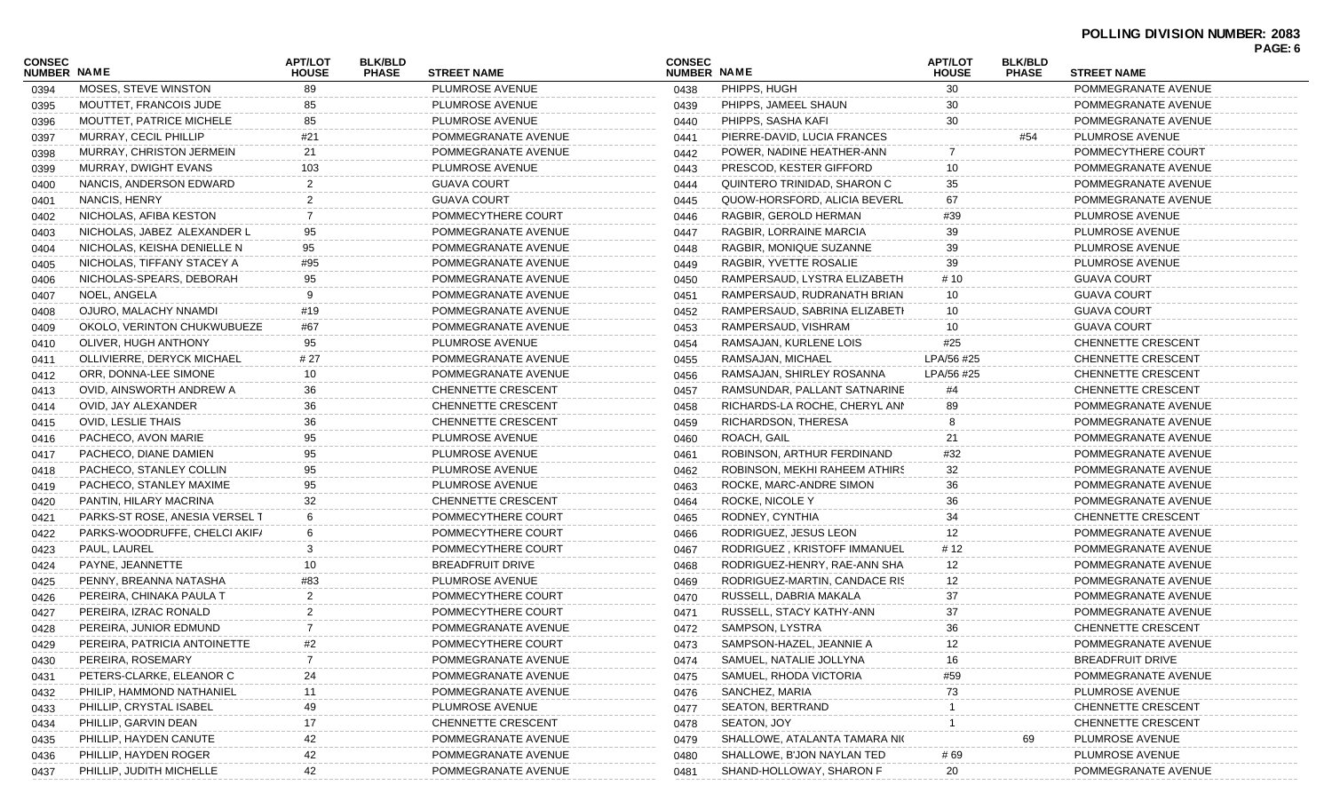## **POLLING DIVISION NUMBER: 2083 PAGE: 6**

| CONSEC<br><b>NUMBER NAME</b> |                                | <b>APT/LOT</b><br><b>HOUSE</b> | <b>BLK/BLD</b><br><b>PHASE</b> | <b>STREET NAME</b>        | <b>CONSEC</b><br><b>NUMBER NAME</b> |                               | <b>APT/LOT</b><br><b>HOUSE</b> | <b>BLK/BLD</b><br><b>PHASE</b> | <b>STREET NAME</b>        |  |
|------------------------------|--------------------------------|--------------------------------|--------------------------------|---------------------------|-------------------------------------|-------------------------------|--------------------------------|--------------------------------|---------------------------|--|
| 0394                         | MOSES, STEVE WINSTON           | 89                             |                                | PLUMROSE AVENUE           | 0438                                | PHIPPS, HUGH                  | 30                             |                                | POMMEGRANATE AVENUE       |  |
| 0395                         | MOUTTET, FRANCOIS JUDE         |                                |                                | PLUMROSE AVENUE           | 0439                                | PHIPPS, JAMEEL SHAUN          |                                |                                | POMMEGRANATE AVENUE       |  |
| 0396                         | MOUTTET, PATRICE MICHELE       | 85                             |                                | PLUMROSE AVENUE           | 0440                                | PHIPPS, SASHA KAFI            | 30                             |                                | POMMEGRANATE AVENUE       |  |
| 0397                         | MURRAY, CECIL PHILLIP          | #21                            |                                | POMMEGRANATE AVENUE       | 0441                                | PIERRE-DAVID, LUCIA FRANCES   |                                | #54                            | PLUMROSE AVENUE           |  |
| 0398                         | MURRAY, CHRISTON JERMEIN       | 21                             |                                | POMMEGRANATE AVENUE       | 0442                                | POWER, NADINE HEATHER-ANN     | 7                              |                                | POMMECYTHERE COURT        |  |
| 0399                         | MURRAY, DWIGHT EVANS           | 103                            |                                | PLUMROSE AVENUE           | 0443                                | PRESCOD, KESTER GIFFORD       | 10                             |                                | POMMEGRANATE AVENUE       |  |
| 0400                         | NANCIS, ANDERSON EDWARD        |                                |                                | <b>GUAVA COURT</b>        | 0444                                | QUINTERO TRINIDAD, SHARON C   | 35                             |                                | POMMEGRANATE AVENUE       |  |
| 0401                         | NANCIS, HENRY                  |                                |                                | <b>GUAVA COURT</b>        | 0445                                | QUOW-HORSFORD, ALICIA BEVERL  | 67                             |                                | POMMEGRANATE AVENUE       |  |
| 0402                         | NICHOLAS, AFIBA KESTON         |                                |                                | POMMECYTHERE COURT        | 0446                                | RAGBIR, GEROLD HERMAN         | #39                            |                                | PLUMROSE AVENUE           |  |
| 0403                         | NICHOLAS, JABEZ ALEXANDER L    | 95                             |                                | POMMEGRANATE AVENUE       | 0447                                | RAGBIR, LORRAINE MARCIA       | 39                             |                                | PLUMROSE AVENUE           |  |
| 0404                         | NICHOLAS, KEISHA DENIELLE N    | 95                             |                                | POMMEGRANATE AVENUE       | 0448                                | RAGBIR, MONIQUE SUZANNE       | 39                             |                                | PLUMROSE AVENUE           |  |
| 0405                         | NICHOLAS, TIFFANY STACEY A     | #95                            |                                | POMMEGRANATE AVENUE       | 0449                                | RAGBIR, YVETTE ROSALIE        | 39                             |                                | PLUMROSE AVENUE           |  |
| 0406                         | NICHOLAS-SPEARS, DEBORAH       | 95                             |                                | POMMEGRANATE AVENUE       | 0450                                | RAMPERSAUD, LYSTRA ELIZABETH  | # 10                           |                                | <b>GUAVA COURT</b>        |  |
| 0407                         | NOEL, ANGELA                   | 9                              |                                | POMMEGRANATE AVENUE       | 0451                                | RAMPERSAUD, RUDRANATH BRIAN   | 10                             |                                | <b>GUAVA COURT</b>        |  |
| 0408                         | OJURO, MALACHY NNAMDI          | #19                            |                                | POMMEGRANATE AVENUE       | 0452                                | RAMPERSAUD, SABRINA ELIZABETI | 10                             |                                | <b>GUAVA COURT</b>        |  |
| 0409                         | OKOLO, VERINTON CHUKWUBUEZE    | #67                            |                                | POMMEGRANATE AVENUE       | 0453                                | RAMPERSAUD, VISHRAM           | 10                             |                                | <b>GUAVA COURT</b>        |  |
| 0410                         | OLIVER, HUGH ANTHONY           | 95                             |                                | PLUMROSE AVENUE           | 0454                                | RAMSAJAN, KURLENE LOIS        | #25                            |                                | CHENNETTE CRESCENT        |  |
| 0411                         | OLLIVIERRE, DERYCK MICHAEL     | # 27                           |                                | POMMEGRANATE AVENUE       | 0455                                | RAMSAJAN, MICHAEL             | LPA/56 #25                     |                                | CHENNETTE CRESCENT        |  |
| 0412                         | ORR, DONNA-LEE SIMONE          | 10                             |                                | POMMEGRANATE AVENUE       | 0456                                | RAMSAJAN, SHIRLEY ROSANNA     | LPA/56 #25                     |                                | CHENNETTE CRESCENT        |  |
| 0413                         | OVID, AINSWORTH ANDREW A       | 36                             |                                | CHENNETTE CRESCENT        | 0457                                | RAMSUNDAR, PALLANT SATNARINE  | #4                             |                                | CHENNETTE CRESCENT        |  |
| 0414                         | OVID, JAY ALEXANDER            | 36                             |                                | CHENNETTE CRESCENT        | 0458                                | RICHARDS-LA ROCHE, CHERYL ANN | 89                             |                                | POMMEGRANATE AVENUE       |  |
| 0415                         | OVID, LESLIE THAIS             | 36                             |                                | <b>CHENNETTE CRESCENT</b> | 0459                                | RICHARDSON, THERESA           |                                |                                | POMMEGRANATE AVENUE       |  |
| 0416                         | PACHECO, AVON MARIE            | 95                             |                                | PLUMROSE AVENUE           | 0460                                | ROACH, GAIL                   | 21                             |                                | POMMEGRANATE AVENUE       |  |
| 0417                         | PACHECO, DIANE DAMIEN          | 95                             |                                | PLUMROSE AVENUE           | 0461                                | ROBINSON, ARTHUR FERDINAND    | #32                            |                                | POMMEGRANATE AVENUE       |  |
| 0418                         | PACHECO, STANLEY COLLIN        | 95                             |                                | PLUMROSE AVENUE           | 0462                                | ROBINSON, MEKHI RAHEEM ATHIRS | 32                             |                                | POMMEGRANATE AVENUE       |  |
| 0419                         | PACHECO, STANLEY MAXIME        | 95                             |                                | PLUMROSE AVENUE           | 0463                                | ROCKE, MARC-ANDRE SIMON       | 36                             |                                | POMMEGRANATE AVENUE       |  |
| 0420                         | PANTIN, HILARY MACRINA         | 32                             |                                | <b>CHENNETTE CRESCENT</b> | 0464                                | ROCKE, NICOLE Y               | 36                             |                                | POMMEGRANATE AVENUE       |  |
| 0421                         | PARKS-ST ROSE, ANESIA VERSEL T | 6                              |                                | POMMECYTHERE COURT        | 0465                                | RODNEY, CYNTHIA               | 34                             |                                | CHENNETTE CRESCENT        |  |
| 0422                         | PARKS-WOODRUFFE, CHELCI AKIF/  | 6                              |                                | POMMECYTHERE COURT        | 0466                                | RODRIGUEZ, JESUS LEON         | 12                             |                                | POMMEGRANATE AVENUE       |  |
| 0423                         | PAUL, LAUREL                   | 3                              |                                | POMMECYTHERE COURT        | 0467                                | RODRIGUEZ, KRISTOFF IMMANUEL  | # 12                           |                                | POMMEGRANATE AVENUE       |  |
| 0424                         | PAYNE, JEANNETTE               | 10                             |                                | <b>BREADFRUIT DRIVE</b>   | 0468                                | RODRIGUEZ-HENRY, RAE-ANN SHA  | 12                             |                                | POMMEGRANATE AVENUE       |  |
| 0425                         | PENNY, BREANNA NATASHA         | #83                            |                                | PLUMROSE AVENUE           | 0469                                | RODRIGUEZ-MARTIN, CANDACE RIS | 12                             |                                | POMMEGRANATE AVENUE       |  |
| 0426                         | PEREIRA, CHINAKA PAULA T       | 2                              |                                | POMMECYTHERE COURT        | 0470                                | RUSSELL, DABRIA MAKALA        | 37                             |                                | POMMEGRANATE AVENUE       |  |
| 0427                         | PEREIRA, IZRAC RONALD          | 2                              |                                | POMMECYTHERE COURT        | 0471                                | RUSSELL, STACY KATHY-ANN      | 37                             |                                | POMMEGRANATE AVENUE       |  |
| 0428                         | PEREIRA, JUNIOR EDMUND         | 7                              |                                | POMMEGRANATE AVENUE       | 0472                                | SAMPSON, LYSTRA               | 36                             |                                | <b>CHENNETTE CRESCENT</b> |  |
| 0429                         | PEREIRA, PATRICIA ANTOINETTE   | #2                             |                                | POMMECYTHERE COURT        | 0473                                | SAMPSON-HAZEL, JEANNIE A      | 12                             |                                | POMMEGRANATE AVENUE       |  |
| 0430                         | PEREIRA, ROSEMARY              |                                |                                | POMMEGRANATE AVENUE       | 0474                                | SAMUEL, NATALIE JOLLYNA       |                                |                                | <b>BREADFRUIT DRIVE</b>   |  |
| 0431                         | PETERS-CLARKE, ELEANOR C       | 24                             |                                | POMMEGRANATE AVENUE       | 0475                                | SAMUEL, RHODA VICTORIA        | #59                            |                                | POMMEGRANATE AVENUE       |  |
|                              | PHILIP, HAMMOND NATHANIEL      | 11                             |                                | POMMEGRANATE AVENUE       | 0476                                | SANCHEZ, MARIA                | 73                             |                                | PLUMROSE AVENUE           |  |
| 0432                         | PHILLIP, CRYSTAL ISABEL        | 49                             |                                | PLUMROSE AVENUE           | 0477                                | <b>SEATON, BERTRAND</b>       |                                |                                | <b>CHENNETTE CRESCENT</b> |  |
| 0433                         | PHILLIP, GARVIN DEAN           | 17                             |                                | CHENNETTE CRESCENT        | 0478                                | SEATON, JOY                   |                                |                                | <b>CHENNETTE CRESCENT</b> |  |
| 0434                         | PHILLIP, HAYDEN CANUTE         | 42                             |                                | POMMEGRANATE AVENUE       |                                     | SHALLOWE, ATALANTA TAMARA NIC |                                |                                | PLUMROSE AVENUE           |  |
| 0435                         | PHILLIP, HAYDEN ROGER          | 42                             |                                | POMMEGRANATE AVENUE       | 0479                                | SHALLOWE, B'JON NAYLAN TED    |                                | 69                             | PLUMROSE AVENUE           |  |
| 0436                         |                                |                                |                                |                           | 0480                                | SHAND-HOLLOWAY, SHARON F      | # 69                           |                                |                           |  |
| 0437                         | PHILLIP, JUDITH MICHELLE       | 42                             |                                | POMMEGRANATE AVENUE       | 0481                                |                               | 20                             |                                | POMMEGRANATE AVENUE       |  |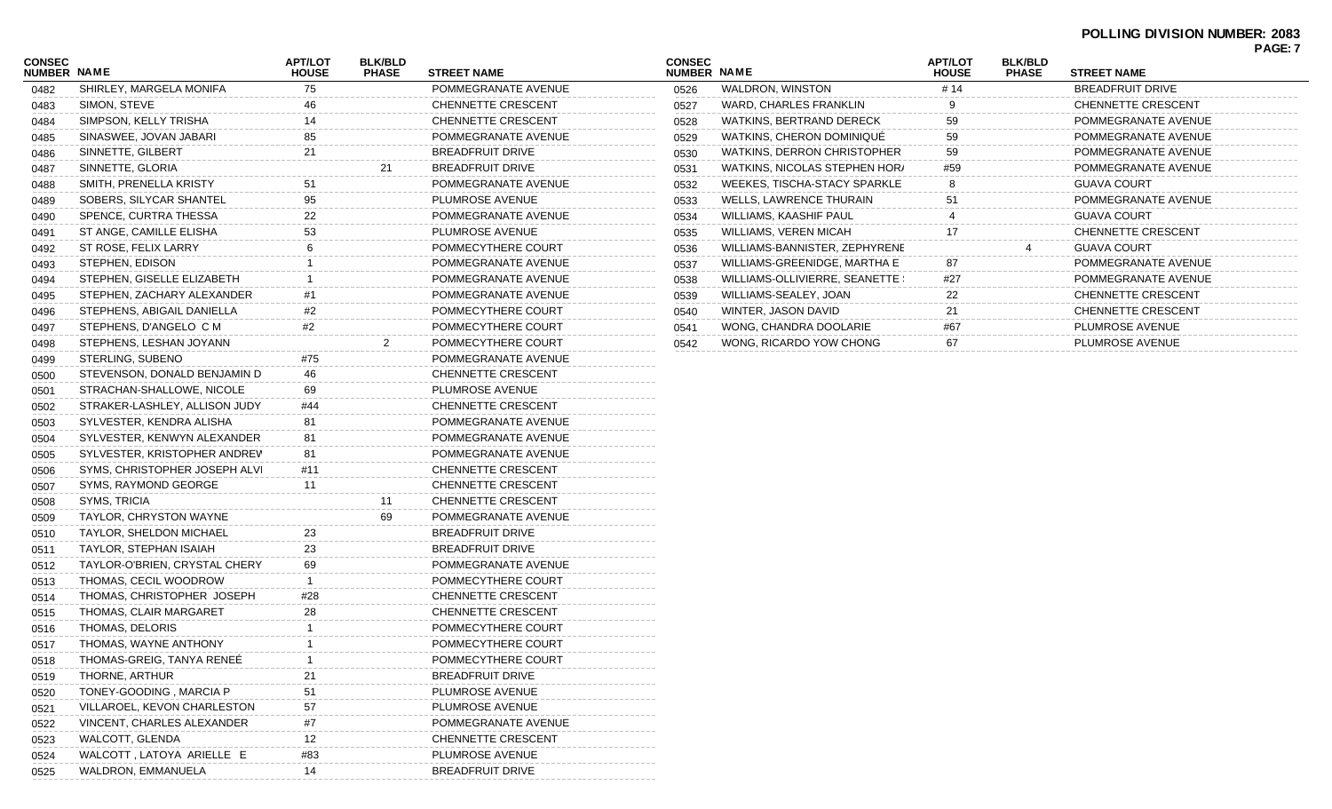## **POLLING DIVISION NUMBER: 2083**

|                         |                              |                                 |                                |                                |                           | PAGE: 7 |
|-------------------------|------------------------------|---------------------------------|--------------------------------|--------------------------------|---------------------------|---------|
| <b>STREET NAME</b>      | <b>CONSEC</b><br>NUMBER NAME |                                 | <b>APT/LOT</b><br><b>HOUSE</b> | <b>BLK/BLD</b><br><b>PHASE</b> | <b>STREET NAME</b>        |         |
| POMMEGRANATE AVENUE     | 0526                         | WALDRON, WINSTON                | # 14                           |                                | <b>BREADFRUIT DRIVE</b>   |         |
| CHENNETTE CRESCENT      | 0527                         | WARD, CHARLES FRANKLIN          |                                |                                | <b>CHENNETTE CRESCENT</b> |         |
| CHENNETTE CRESCENT      | 0528                         | WATKINS, BERTRAND DERECK        | 59                             |                                | POMMEGRANATE AVENUE       |         |
| POMMEGRANATE AVENUE     | 0529                         | WATKINS, CHERON DOMINIQUE       | 59                             |                                | POMMEGRANATE AVENUE       |         |
| <b>BREADFRUIT DRIVE</b> | 0530                         | WATKINS, DERRON CHRISTOPHER     | 59                             |                                | POMMEGRANATE AVENUE       |         |
| <b>BREADFRUIT DRIVE</b> | 0531                         | WATKINS, NICOLAS STEPHEN HOR/   | #59                            |                                | POMMEGRANATE AVENUE       |         |
| POMMEGRANATE AVENUE     | 0532                         | WEEKES, TISCHA-STACY SPARKLE    | 8                              |                                | <b>GUAVA COURT</b>        |         |
| PLUMROSE AVENUE         | 0533                         | <b>WELLS, LAWRENCE THURAIN</b>  | 51                             |                                | POMMEGRANATE AVENUE       |         |
| POMMEGRANATE AVENUE     | 0534                         | WILLIAMS, KAASHIF PAUL          |                                |                                | <b>GUAVA COURT</b>        |         |
| PLUMROSE AVENUE         | 0535                         | <b>WILLIAMS, VEREN MICAH</b>    |                                |                                | <b>CHENNETTE CRESCENT</b> |         |
| POMMECYTHERE COURT      | 0536                         | WILLIAMS-BANNISTER, ZEPHYRENE   |                                |                                | <b>GUAVA COURT</b>        |         |
| POMMEGRANATE AVENUE     | 0537                         | WILLIAMS-GREENIDGE, MARTHA E    | 87                             |                                | POMMEGRANATE AVENUE       |         |
| POMMEGRANATE AVENUE     | 0538                         | WILLIAMS-OLLIVIERRE, SEANETTE ! | #27                            |                                | POMMEGRANATE AVENUE       |         |
| POMMEGRANATE AVENUE     | 0539                         | WILLIAMS-SEALEY, JOAN           | 22                             |                                | CHENNETTE CRESCENT        |         |
| POMMECYTHERE COURT      | 0540                         | WINTER, JASON DAVID             | 21                             |                                | <b>CHENNETTE CRESCENT</b> |         |
| POMMECYTHERE COURT      | 0541                         | WONG, CHANDRA DOOLARIE          | #67                            |                                | PLUMROSE AVENUE           |         |
| POMMECYTHERE COURT      | 0542                         | WONG, RICARDO YOW CHONG         | 67                             |                                | PLUMROSE AVENUE           |         |
|                         |                              |                                 |                                |                                |                           |         |

| <b>CONSEC</b><br>NUMBER NAME |                               | <b>APT/LOT</b><br><b>HOUSE</b> | <b>BLK/BLD</b><br><b>PHASE</b> | <b>STREET NAME</b>        |
|------------------------------|-------------------------------|--------------------------------|--------------------------------|---------------------------|
| 0482                         | SHIRLEY, MARGELA MONIFA       | 75                             |                                | POMMEGRANATE AVENUE       |
| 0483                         | SIMON, STEVE                  | 46                             |                                | CHENNETTE CRESCENT        |
| 0484                         | SIMPSON, KELLY TRISHA         | 14                             |                                | CHENNETTE CRESCENT        |
| 0485                         | SINASWEE, JOVAN JABARI        | 85                             |                                | POMMEGRANATE AVENUE       |
| 0486                         | SINNETTE, GILBERT             | 21                             |                                | <b>BREADFRUIT DRIVE</b>   |
| 0487                         | SINNETTE, GLORIA              |                                | 21                             | <b>BREADFRUIT DRIVE</b>   |
| 0488                         | SMITH, PRENELLA KRISTY        | 51                             |                                | POMMEGRANATE AVENUE       |
| 0489                         | SOBERS, SILYCAR SHANTEL       | 95                             |                                | PLUMROSE AVENUE           |
| 0490                         | SPENCE, CURTRA THESSA         | 22                             |                                | POMMEGRANATE AVENUE       |
| 0491                         | ST ANGE, CAMILLE ELISHA       | 53                             |                                | PLUMROSE AVENUE           |
| 0492                         | ST ROSE, FELIX LARRY          | 6                              |                                | POMMECYTHERE COURT        |
| 0493                         | STEPHEN, EDISON               | 1                              |                                | POMMEGRANATE AVENUE       |
| 0494                         | STEPHEN, GISELLE ELIZABETH    | $\mathbf{1}$                   |                                | POMMEGRANATE AVENUE       |
| 0495                         | STEPHEN, ZACHARY ALEXANDER    | #1                             |                                | POMMEGRANATE AVENUE       |
| 0496                         | STEPHENS, ABIGAIL DANIELLA    | #2                             |                                | POMMECYTHERE COURT        |
| 0497                         | STEPHENS, D'ANGELO CM         | #2                             |                                | POMMECYTHERE COURT        |
| 0498                         | STEPHENS, LESHAN JOYANN       |                                | $\overline{2}$                 | POMMECYTHERE COURT        |
| 0499                         | STERLING, SUBENO              | #75                            |                                | POMMEGRANATE AVENUE       |
| 0500                         | STEVENSON, DONALD BENJAMIN D  | 46                             |                                | CHENNETTE CRESCENT        |
| 0501                         | STRACHAN-SHALLOWE, NICOLE     | 69                             |                                | PLUMROSE AVENUE           |
| 0502                         | STRAKER-LASHLEY, ALLISON JUDY | #44                            |                                | <b>CHENNETTE CRESCENT</b> |
| 0503                         | SYLVESTER, KENDRA ALISHA      | 81                             |                                | POMMEGRANATE AVENUE       |
| 0504                         | SYLVESTER, KENWYN ALEXANDER   | 81                             |                                | POMMEGRANATE AVENUE       |
| 0505                         | SYLVESTER, KRISTOPHER ANDREV  | 81                             |                                | POMMEGRANATE AVENUE       |
| 0506                         | SYMS, CHRISTOPHER JOSEPH ALVI | #11                            |                                | <b>CHENNETTE CRESCENT</b> |
| 0507                         | SYMS, RAYMOND GEORGE          | 11                             |                                | CHENNETTE CRESCENT        |
| 0508                         | SYMS, TRICIA                  |                                | 11                             | CHENNETTE CRESCENT        |
| 0509                         | TAYLOR, CHRYSTON WAYNE        |                                | 69                             | POMMEGRANATE AVENUE       |
| 0510                         | TAYLOR, SHELDON MICHAEL       | 23                             |                                | <b>BREADFRUIT DRIVE</b>   |
| 0511                         | TAYLOR, STEPHAN ISAIAH        | 23                             |                                | <b>BREADFRUIT DRIVE</b>   |
| 0512                         | TAYLOR-O'BRIEN, CRYSTAL CHERY | 69                             |                                | POMMEGRANATE AVENUE       |
| 0513                         | THOMAS, CECIL WOODROW         | $\mathbf{1}$                   |                                | POMMECYTHERE COURT        |
| 0514                         | THOMAS, CHRISTOPHER JOSEPH    | #28                            |                                | CHENNETTE CRESCENT        |
| 0515                         | THOMAS, CLAIR MARGARET        | 28                             |                                | CHENNETTE CRESCENT        |
| 0516                         | THOMAS, DELORIS               | 1                              |                                | POMMECYTHERE COURT        |
| 0517                         | THOMAS, WAYNE ANTHONY         | 1                              |                                | POMMECYTHERE COURT        |
| 0518                         | THOMAS-GREIG, TANYA RENEE     | 1                              |                                | POMMECYTHERE COURT        |
| 0519                         | THORNE, ARTHUR                | 21                             |                                | <b>BREADFRUIT DRIVE</b>   |
| 0520                         | TONEY-GOODING, MARCIA P       | 51                             |                                | PLUMROSE AVENUE           |
| 0521                         | VILLAROEL, KEVON CHARLESTON   | 57                             |                                | PLUMROSE AVENUE           |
| 0522                         | VINCENT, CHARLES ALEXANDER    | #7                             |                                | POMMEGRANATE AVENUE       |
| 0523                         | WALCOTT, GLENDA               | 12                             |                                | CHENNETTE CRESCENT        |
| 0524                         | WALCOTT, LATOYA ARIELLE E     | #83                            |                                | PLUMROSE AVENUE           |
| 0525                         | WALDRON, EMMANUELA            | 14                             |                                | <b>BREADFRUIT DRIVE</b>   |
|                              |                               |                                |                                |                           |